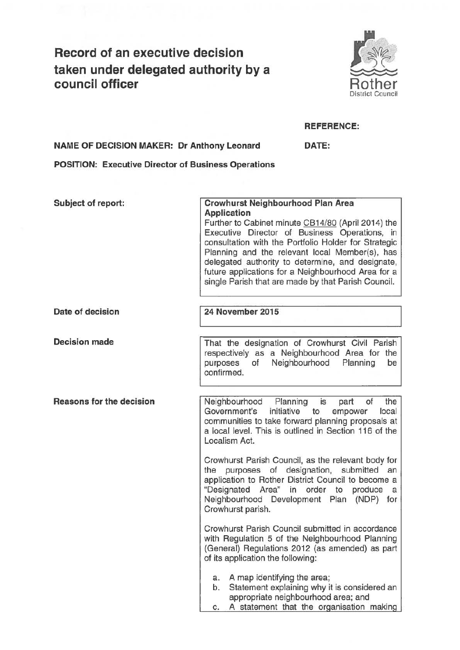# **Record of an executive decision taken under delegated authority by a council officer** Rother



## **REFERENCE:**

**NAME OF DECISION MAKER: Dr Anthony Leonard DATE:** 

**POSITION: Executive Director of Business Operations** 

**Subject of report: Crowhurst Neighbourhood Plan Area Application**  Further to Cabinet minute CB14/80 (April 2014) the Executive Director of Business Operations, in consultation with the Portfolio Holder for Strategic Planning and the relevant local Member(s), has delegated authority to determine, and designate, future applications for a Neighbourhood Area for a single Parish that are made by that Parish Council. **Date of decision 24 November 2015 Decision made Reasons for the decision**  That the designation of Crowhurst Civil Parish respectively as a Neighbourhood Area for the purposes of Neighbourhood Planning be confirmed. Neighbourhood Planning is part of the Government's initiative to empower local communities to take forward planning proposals at a local level. This is outlined in Section 116 of the localism Act. Crowhurst Parish Council, as the relevant body for the purposes of designation, submitted an application to Rother District Council to become a "Designated Area" in order to produce a Neighbourhood Development Plan (NOP) for Crowhurst parish. Crowhurst Parish Council submitted in accordance with Regulation 5 of the Neighbourhood Planning (General) Regulations 2012 (as amended) as part of its application the following: a. A map identifying the area; b. Statement explaining why it is considered an appropriate neighbourhood area; and c. **A** statement that the organisation making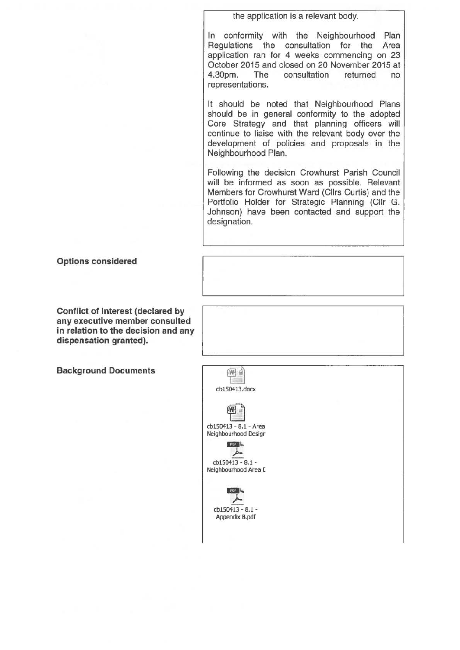the application is a relevant body.

In conformity with the Neighbourhood Plan Regulations the consultation for the Area application ran for 4 weeks commencing on 23 October 2015 and closed on 20 November 2015 at 4.30pm. The consultation returned no representations.

It should be noted that Neighbourhood Plans should be in general conformity to the adopted Core Strategy and that planning officers will continue to liaise with the relevant body over the development of policies and proposals in the Neighbourhood Plan.

Following the decision Crowhurst Parish Council will be informed as soon as possible. Relevant Members for Crowhurst Ward (Cllrs Curtis) and the Portfolio Holder for Strategic Planning (Cllr G. Johnson) have been contacted and support the designation.

### **Options considered**

**Conflict of Interest (declared by any executive member consulted in relation to the decision and any dispensation granted).** 

**Background Documents**